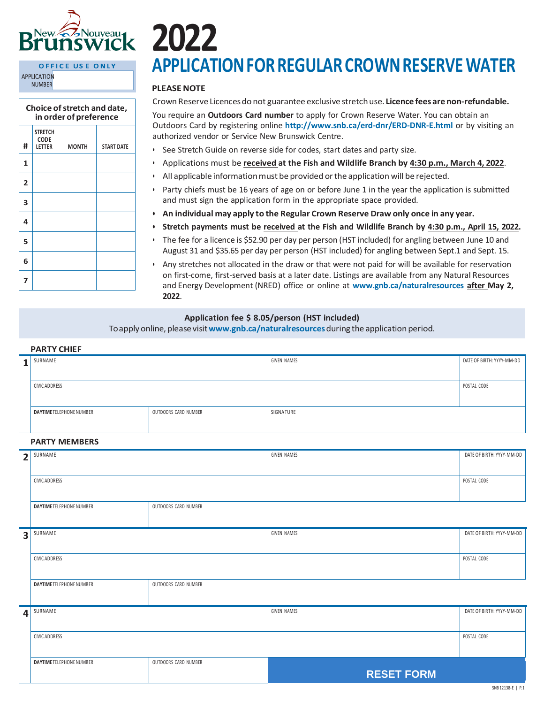

#### OFFICE USE ONLY **APPLICATION NUMBER**

| Choice of stretch and date,<br>in order of preference |                                                |              |                   |  |  |  |
|-------------------------------------------------------|------------------------------------------------|--------------|-------------------|--|--|--|
| #                                                     | <b>STRETCH</b><br><b>CODE</b><br><b>LETTER</b> | <b>MONTH</b> | <b>START DATE</b> |  |  |  |
| 1                                                     |                                                |              |                   |  |  |  |
| 2                                                     |                                                |              |                   |  |  |  |
| 3                                                     |                                                |              |                   |  |  |  |
| 4                                                     |                                                |              |                   |  |  |  |
| 5                                                     |                                                |              |                   |  |  |  |
| 6                                                     |                                                |              |                   |  |  |  |
| 7                                                     |                                                |              |                   |  |  |  |

# **APPLICATIONFORREGULARCROWNRESERVEWATER**

# **PLEASENOTE**

CrownReserve Licencesdo not guarantee exclusive stretchuse. **Licence fees are non-refundable.**

You require an **Outdoors Card number** to apply for Crown Reserve Water. You can obtain an Outdoors Card by registering online **<http://www.snb.ca/erd-dnr/ERD-DNR-E.html>** or by visiting an authorized vendor or Service New Brunswick Centre.

- See Stretch Guide on reverse side for codes, start dates and party size.
- Applications must be **received at the Fish and Wildlife Branch by 4:30 p.m., March 4, 2022**.
- All applicable information must be provided or the application will be rejected.
- Party chiefs must be 16 years of age on or before June 1 in the year the application is submitted and must sign the application form in the appropriate space provided.
- **• An individual may apply to the Regular Crown Reserve Draw only once in any year.**
- **• Stretch payments must be received at the Fish and Wildlife Branch by 4:30 p.m., April 15, 2022.**
- The fee for a licence is \$52.90 per day per person (HST included) for angling between June 10 and August 31 and \$35.65 per day per person (HST included) for angling between Sept.1 and Sept. 15.
- Any stretches not allocated in the draw or that were not paid for will be available for reservation on first-come, first-served basis at a later date. Listings are available from any Natural Resources and Energy Development (NRED) office or online at **[www.gnb.ca/naturalresources](http://www.gnb.ca/naturalresources) after May 2, 2022**.

## **Application fee \$ 8.05/person (HST included)**

Toapply online, pleasevisit**[www.gnb.ca/naturalresources](http://www.gnb.ca/naturalresources)**during the application period.

| <b>PARTY CHIEF</b>      |                          |                      |                    |                           |  |  |  |  |
|-------------------------|--------------------------|----------------------|--------------------|---------------------------|--|--|--|--|
| $\mathbf{1}$            | SURNAME                  |                      | <b>GIVEN NAMES</b> | DATE OF BIRTH: YYYY-MM-DD |  |  |  |  |
|                         | CIVIC ADDRESS            |                      |                    | POSTAL CODE               |  |  |  |  |
|                         | DAYTIME TELEPHONE NUMBER | OUTDOORS CARD NUMBER | SIGNATURE          |                           |  |  |  |  |
|                         | <b>PARTY MEMBERS</b>     |                      |                    |                           |  |  |  |  |
| $\overline{2}$          | SURNAME                  |                      | GIVEN NAMES        | DATE OF BIRTH: YYYY-MM-DD |  |  |  |  |
|                         | CIVIC ADDRESS            |                      |                    | POSTAL CODE               |  |  |  |  |
|                         | DAYTIME TELEPHONE NUMBER | OUTDOORS CARD NUMBER |                    |                           |  |  |  |  |
| $\overline{\mathbf{3}}$ | SURNAME                  |                      | GIVEN NAMES        | DATE OF BIRTH: YYYY-MM-DD |  |  |  |  |
|                         | CIVIC ADDRESS            |                      |                    | POSTAL CODE               |  |  |  |  |
|                         | DAYTIME TELEPHONE NUMBER | OUTDOORS CARD NUMBER |                    |                           |  |  |  |  |
| $\vert$                 | SURNAME                  |                      | GIVEN NAMES        | DATE OF BIRTH: YYYY-MM-DD |  |  |  |  |
|                         | CIVIC ADDRESS            |                      |                    | POSTAL CODE               |  |  |  |  |
|                         | DAYTIME TELEPHONE NUMBER | OUTDOORS CARD NUMBER | <b>RESET FORM</b>  |                           |  |  |  |  |
|                         |                          |                      |                    | SNR 12138-F   P1          |  |  |  |  |